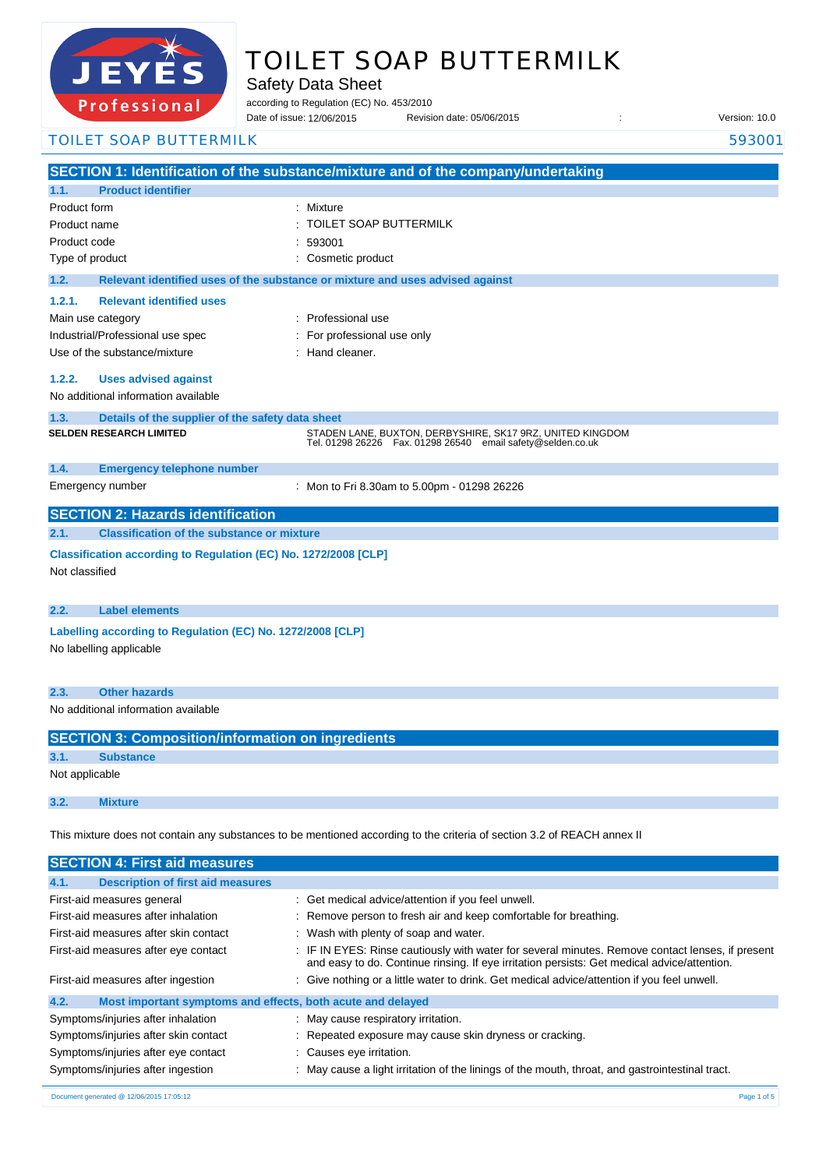

# TOILET SOAP BUTTERMILK

Safety Data Sheet

according to Regulation (EC) No. 453/2010

Date of issue: Revision date: 05/06/2015 : Version: 10.0 12/06/2015

## **SECTION 1: Identification of the substance/mixture and of the company/undertaking 1.1. Product identifier** Product form : Nixture : Mixture Product name : Product code : Type of product in the cosmetic product in the cosmetic product **1.2. Relevant identified uses of the substance or mixture and uses advised against 1.2.1. Relevant identified uses**  Main use category **intervalled** and the category of the category of the category of the category of the category Industrial/Professional use spec : For professional use only Use of the substance/mixture : Hand cleaner. **1.2.2. Uses advised against** No additional information available **1.3. Details of the supplier of the safety data sheet 1.4. Emergency telephone number** Emergency number : **SECTION 2: Hazards identification 2.1. Classification of the substance or mixture Classification according to Regulation (EC) No. 1272/2008 [CLP]** Not classified **2.2. Label elements Labelling according to Regulation (EC) No. 1272/2008 [CLP]** No labelling applicable **2.3. Other hazards** No additional information available **SECTION 3: Composition/information on ingredients 3.1. Substance** Not applicable **3.2. Mixture** This mixture does not contain any substances to be mentioned according to the criteria of section 3.2 of REACH annex II TOILET SOAP BUTTERMILK 593001 TOILET SOAP BUTTERMILK 593001 **SELDEN RESEARCH LIMITED** STADEN LANE, BUXTON, DERBYSHIRE, SK17 9RZ, UNITED KINGDOM Tel. 01298 26226 Fax. 01298 26540 email safety@selden.co.uk Mon to Fri 8.30am to 5.00pm - 01298 26226

| <b>SECTION 4: First aid measures</b>                                |                                                                                                                                                                                                 |
|---------------------------------------------------------------------|-------------------------------------------------------------------------------------------------------------------------------------------------------------------------------------------------|
| <b>Description of first aid measures</b><br>4.1.                    |                                                                                                                                                                                                 |
| First-aid measures general                                          | : Get medical advice/attention if you feel unwell.                                                                                                                                              |
| First-aid measures after inhalation                                 | : Remove person to fresh air and keep comfortable for breathing.                                                                                                                                |
| First-aid measures after skin contact                               | Wash with plenty of soap and water.                                                                                                                                                             |
| First-aid measures after eye contact                                | : IF IN EYES: Rinse cautiously with water for several minutes. Remove contact lenses, if present<br>and easy to do. Continue rinsing. If eye irritation persists: Get medical advice/attention. |
| First-aid measures after ingestion                                  | : Give nothing or a little water to drink. Get medical advice/attention if you feel unwell.                                                                                                     |
| 4.2.<br>Most important symptoms and effects, both acute and delayed |                                                                                                                                                                                                 |
| Symptoms/injuries after inhalation                                  | May cause respiratory irritation.                                                                                                                                                               |
| Symptoms/injuries after skin contact                                | : Repeated exposure may cause skin dryness or cracking.                                                                                                                                         |
| Symptoms/injuries after eye contact                                 | : Causes eye irritation.                                                                                                                                                                        |
| Symptoms/injuries after ingestion                                   | May cause a light irritation of the linings of the mouth, throat, and gastrointestinal tract.                                                                                                   |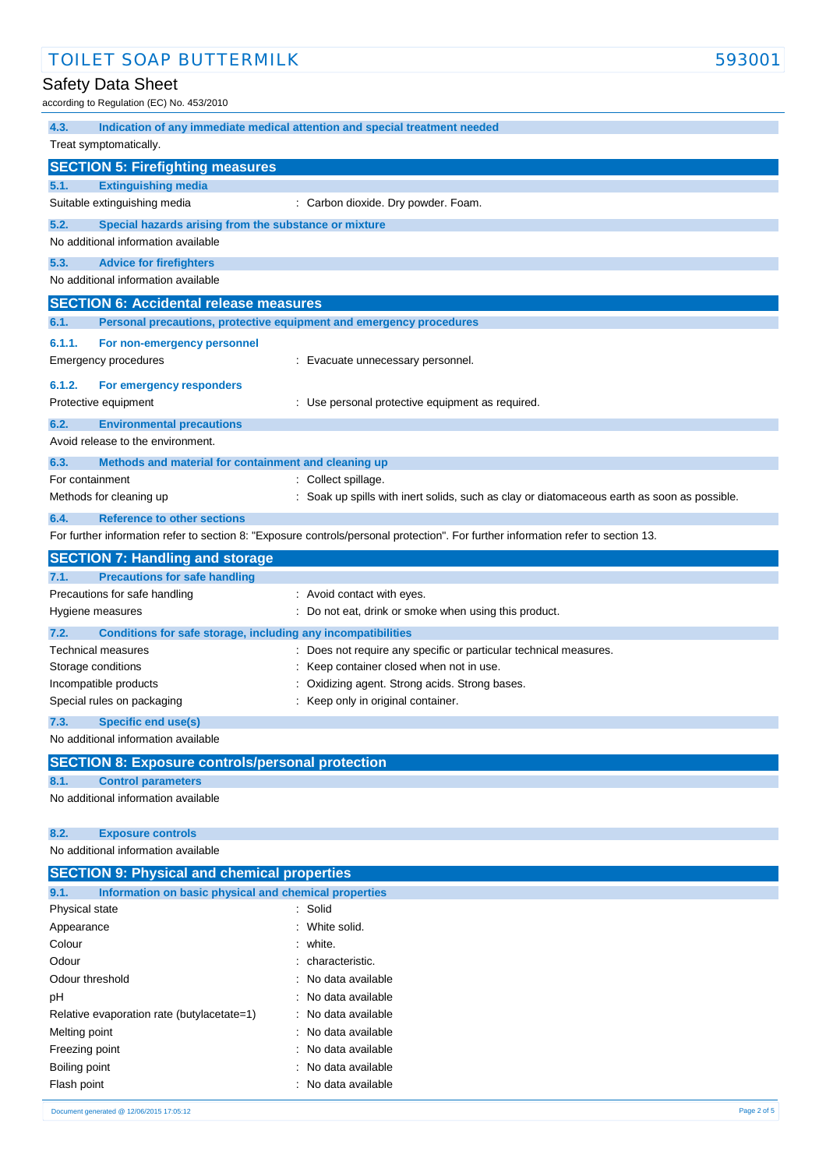# Safety Data Sheet

according to Regulation (EC) No. 453/2010

| 4.3.            |                                                                     | Indication of any immediate medical attention and special treatment needed                                                        |
|-----------------|---------------------------------------------------------------------|-----------------------------------------------------------------------------------------------------------------------------------|
|                 | Treat symptomatically.                                              |                                                                                                                                   |
|                 | <b>SECTION 5: Firefighting measures</b>                             |                                                                                                                                   |
| 5.1.            | <b>Extinguishing media</b>                                          |                                                                                                                                   |
|                 | Suitable extinguishing media                                        | : Carbon dioxide. Dry powder. Foam.                                                                                               |
| 5.2.            | Special hazards arising from the substance or mixture               |                                                                                                                                   |
|                 | No additional information available                                 |                                                                                                                                   |
| 5.3.            | <b>Advice for firefighters</b>                                      |                                                                                                                                   |
|                 | No additional information available                                 |                                                                                                                                   |
|                 |                                                                     |                                                                                                                                   |
|                 | <b>SECTION 6: Accidental release measures</b>                       |                                                                                                                                   |
| 6.1.            | Personal precautions, protective equipment and emergency procedures |                                                                                                                                   |
| 6.1.1.          | For non-emergency personnel                                         |                                                                                                                                   |
|                 | Emergency procedures                                                | : Evacuate unnecessary personnel.                                                                                                 |
| 6.1.2.          | For emergency responders                                            |                                                                                                                                   |
|                 | Protective equipment                                                | : Use personal protective equipment as required.                                                                                  |
| 6.2.            | <b>Environmental precautions</b>                                    |                                                                                                                                   |
|                 | Avoid release to the environment.                                   |                                                                                                                                   |
|                 |                                                                     |                                                                                                                                   |
| 6.3.            | Methods and material for containment and cleaning up                |                                                                                                                                   |
| For containment |                                                                     | : Collect spillage.                                                                                                               |
|                 | Methods for cleaning up                                             | : Soak up spills with inert solids, such as clay or diatomaceous earth as soon as possible.                                       |
| 6.4.            | <b>Reference to other sections</b>                                  |                                                                                                                                   |
|                 |                                                                     | For further information refer to section 8: "Exposure controls/personal protection". For further information refer to section 13. |
|                 | <b>SECTION 7: Handling and storage</b>                              |                                                                                                                                   |
| 7.1.            | <b>Precautions for safe handling</b>                                |                                                                                                                                   |
|                 | Precautions for safe handling                                       | : Avoid contact with eyes.                                                                                                        |
|                 | Hygiene measures                                                    | : Do not eat, drink or smoke when using this product.                                                                             |
| 7.2.            | Conditions for safe storage, including any incompatibilities        |                                                                                                                                   |
|                 | Technical measures                                                  | : Does not require any specific or particular technical measures.                                                                 |
|                 | Storage conditions                                                  | Keep container closed when not in use.                                                                                            |
|                 | Incompatible products                                               | Oxidizing agent. Strong acids. Strong bases.                                                                                      |
|                 | Special rules on packaging                                          | Keep only in original container.                                                                                                  |
| 7.3.            | Specific end use(s)                                                 |                                                                                                                                   |
|                 | No additional information available                                 |                                                                                                                                   |
|                 |                                                                     |                                                                                                                                   |
|                 | <b>SECTION 8: Exposure controls/personal protection</b>             |                                                                                                                                   |
| 8.1.            | <b>Control parameters</b>                                           |                                                                                                                                   |
|                 | No additional information available                                 |                                                                                                                                   |
|                 |                                                                     |                                                                                                                                   |
| 8.2.            | <b>Exposure controls</b><br>No additional information available     |                                                                                                                                   |
|                 |                                                                     |                                                                                                                                   |
|                 | <b>SECTION 9: Physical and chemical properties</b>                  |                                                                                                                                   |
| 9.1.            | Information on basic physical and chemical properties               |                                                                                                                                   |
| Physical state  |                                                                     | : Solid                                                                                                                           |
| Appearance      |                                                                     | White solid.                                                                                                                      |
| Colour          |                                                                     | white.                                                                                                                            |
| Odour           |                                                                     | characteristic.                                                                                                                   |
| Odour threshold |                                                                     | No data available                                                                                                                 |
| pH              |                                                                     | No data available                                                                                                                 |
|                 | Relative evaporation rate (butylacetate=1)                          | No data available                                                                                                                 |
| Melting point   |                                                                     | No data available                                                                                                                 |
| Freezing point  |                                                                     | No data available                                                                                                                 |
| Boiling point   |                                                                     | No data available                                                                                                                 |
| Flash point     |                                                                     | No data available                                                                                                                 |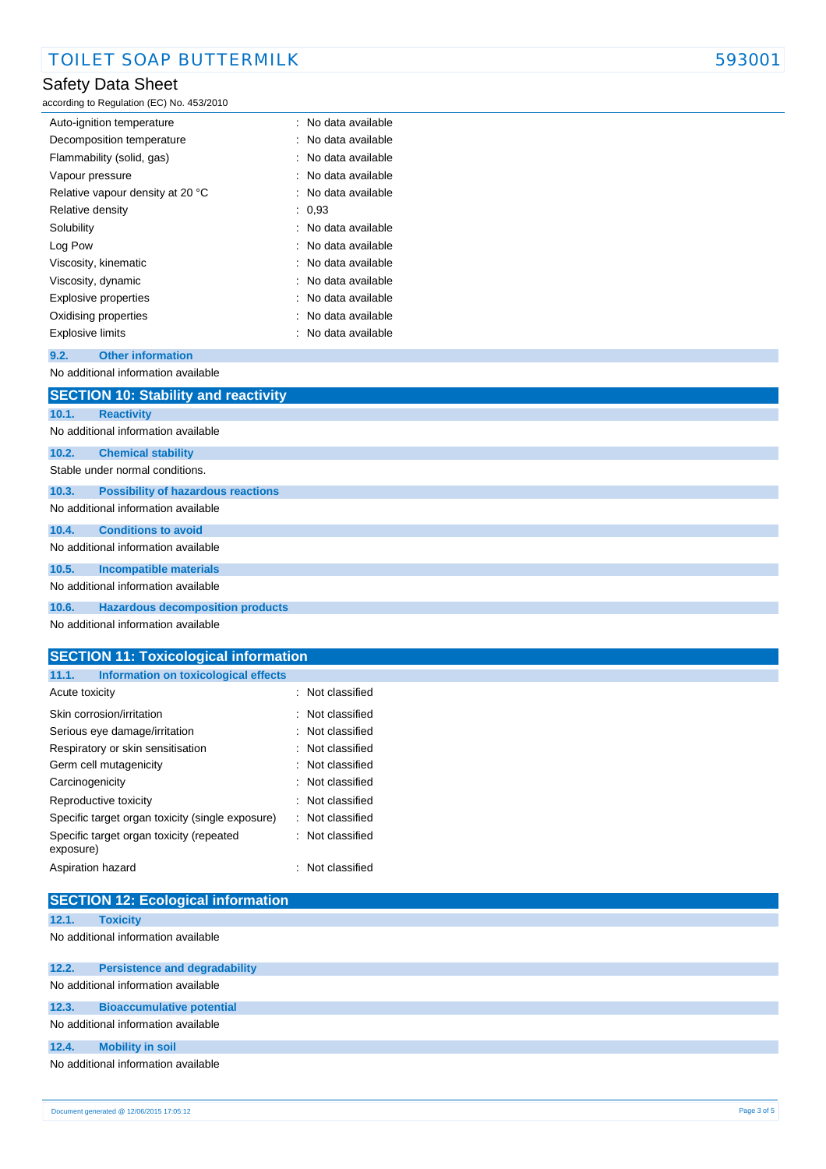## Safety Data Sheet

according to Regulation (EC) No. 453/2010

| Auto-ignition temperature        |  | : No data available |
|----------------------------------|--|---------------------|
| Decomposition temperature        |  | : No data available |
| Flammability (solid, gas)        |  | : No data available |
| Vapour pressure                  |  | : No data available |
| Relative vapour density at 20 °C |  | : No data available |
| Relative density                 |  | : 0,93              |
| Solubility                       |  | : No data available |
| Log Pow                          |  | : No data available |
| Viscosity, kinematic             |  | : No data available |
| Viscosity, dynamic               |  | : No data available |
| Explosive properties             |  | : No data available |
| Oxidising properties             |  | : No data available |
| <b>Explosive limits</b>          |  | No data available   |
|                                  |  |                     |

#### **9.2. Other information**

| No additional information available |
|-------------------------------------|
|                                     |
| $CFTOTIMIAO. CL = 1111.$            |

|       | <b>SECTION TV: Stability and reactivity</b> |
|-------|---------------------------------------------|
| 10.1. | <b>Reactivity</b>                           |
|       | No additional information available         |
| 10.2. | <b>Chemical stability</b>                   |
|       | Stable under normal conditions.             |
| 10.3. | <b>Possibility of hazardous reactions</b>   |
|       | No additional information available         |
| 10.4. | <b>Conditions to avoid</b>                  |
|       | No additional information available         |
| 10.5. | <b>Incompatible materials</b>               |
|       | No additional information available         |
| 10.6. | <b>Hazardous decomposition products</b>     |
|       | No additional information available         |

#### **SECTION 11: Toxicological information 11.1. Information on toxicological effects** Acute toxicity **in the case of the CALIC CONTEX Not classified** : Not classified Skin corrosion/irritation **intervalse in the contract of the Skin** Corrosion/irritation Serious eye damage/irritation : Not classified Respiratory or skin sensitisation : Not classified Germ cell mutagenicity **in the case of the contract of the Cassactive Contract Contract Contract Contract Contract Contract Contract Contract Contract Contract Contract Contract Contract Contract Contract Contract Contract** Carcinogenicity **Carcinogenicity** : Not classified Reproductive toxicity **in the case of the CR**eproductive toxicity Specific target organ toxicity (single exposure) : Not classified Specific target organ toxicity (repeated exposure) : Not classified

|                                     | Aspiration hazard                         | : Not classified |  |  |  |
|-------------------------------------|-------------------------------------------|------------------|--|--|--|
|                                     | <b>SECTION 12: Ecological information</b> |                  |  |  |  |
| 12.1.                               | <b>Toxicity</b>                           |                  |  |  |  |
|                                     | No additional information available       |                  |  |  |  |
|                                     |                                           |                  |  |  |  |
| 12.2.                               | <b>Persistence and degradability</b>      |                  |  |  |  |
|                                     | No additional information available       |                  |  |  |  |
| 12.3.                               | <b>Bioaccumulative potential</b>          |                  |  |  |  |
|                                     | No additional information available       |                  |  |  |  |
| 12.4.                               | <b>Mobility in soil</b>                   |                  |  |  |  |
| No additional information available |                                           |                  |  |  |  |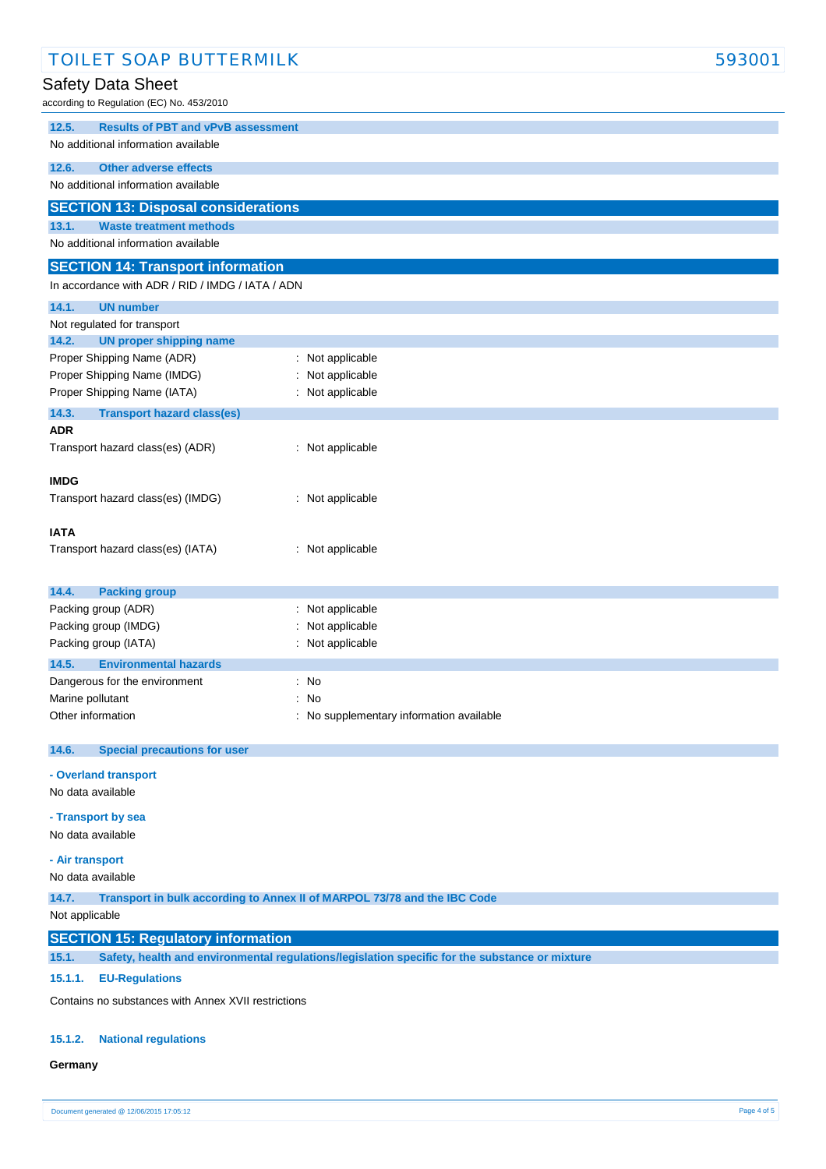| <b>TOILET SOAP BUTTERMILK</b>                       |                                                                                                | 593001 |
|-----------------------------------------------------|------------------------------------------------------------------------------------------------|--------|
| Safety Data Sheet                                   |                                                                                                |        |
| according to Regulation (EC) No. 453/2010           |                                                                                                |        |
|                                                     |                                                                                                |        |
| <b>Results of PBT and vPvB assessment</b><br>12.5.  |                                                                                                |        |
| No additional information available                 |                                                                                                |        |
| 12.6.<br><b>Other adverse effects</b>               |                                                                                                |        |
| No additional information available                 |                                                                                                |        |
| <b>SECTION 13: Disposal considerations</b>          |                                                                                                |        |
| 13.1.<br><b>Waste treatment methods</b>             |                                                                                                |        |
| No additional information available                 |                                                                                                |        |
| <b>SECTION 14: Transport information</b>            |                                                                                                |        |
| In accordance with ADR / RID / IMDG / IATA / ADN    |                                                                                                |        |
| <b>UN number</b><br>14.1.                           |                                                                                                |        |
| Not regulated for transport                         |                                                                                                |        |
| 14.2.<br><b>UN proper shipping name</b>             |                                                                                                |        |
| Proper Shipping Name (ADR)                          | : Not applicable                                                                               |        |
| Proper Shipping Name (IMDG)                         | Not applicable                                                                                 |        |
| Proper Shipping Name (IATA)                         | : Not applicable                                                                               |        |
| 14.3.<br><b>Transport hazard class(es)</b>          |                                                                                                |        |
| <b>ADR</b>                                          |                                                                                                |        |
| Transport hazard class(es) (ADR)                    | : Not applicable                                                                               |        |
|                                                     |                                                                                                |        |
| <b>IMDG</b>                                         |                                                                                                |        |
| Transport hazard class(es) (IMDG)                   | : Not applicable                                                                               |        |
|                                                     |                                                                                                |        |
| <b>IATA</b>                                         |                                                                                                |        |
| Transport hazard class(es) (IATA)                   | : Not applicable                                                                               |        |
|                                                     |                                                                                                |        |
| 14.4.<br><b>Packing group</b>                       |                                                                                                |        |
| Packing group (ADR)                                 | : Not applicable                                                                               |        |
| Packing group (IMDG)                                | Not applicable                                                                                 |        |
| Packing group (IATA)                                | : Not applicable                                                                               |        |
| 14.5.<br><b>Environmental hazards</b>               |                                                                                                |        |
| Dangerous for the environment                       | : No                                                                                           |        |
| Marine pollutant                                    | : No                                                                                           |        |
| Other information                                   | : No supplementary information available                                                       |        |
|                                                     |                                                                                                |        |
| <b>Special precautions for user</b><br>14.6.        |                                                                                                |        |
| - Overland transport                                |                                                                                                |        |
| No data available                                   |                                                                                                |        |
| - Transport by sea                                  |                                                                                                |        |
| No data available                                   |                                                                                                |        |
|                                                     |                                                                                                |        |
| - Air transport                                     |                                                                                                |        |
| No data available                                   |                                                                                                |        |
| 14.7.                                               | Transport in bulk according to Annex II of MARPOL 73/78 and the IBC Code                       |        |
| Not applicable                                      |                                                                                                |        |
| <b>SECTION 15: Regulatory information</b>           |                                                                                                |        |
| 15.1.                                               | Safety, health and environmental regulations/legislation specific for the substance or mixture |        |
| 15.1.1.<br><b>EU-Regulations</b>                    |                                                                                                |        |
| Contains no substances with Annex XVII restrictions |                                                                                                |        |
|                                                     |                                                                                                |        |

#### **15.1.2. National regulations**

#### **Germany**